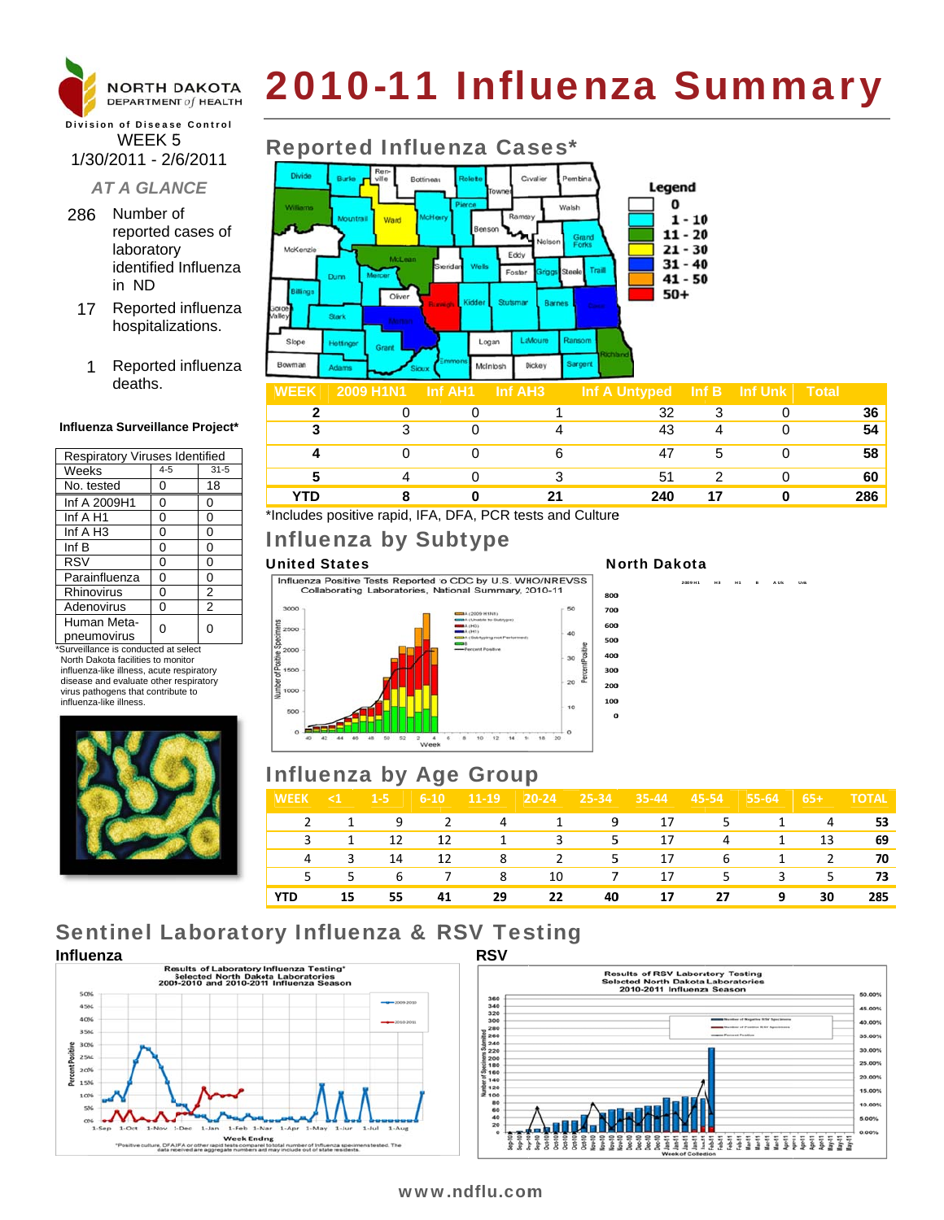

# 2010-11 Influenza Summary

### **Division of Disease Control** WEEK<sub>5</sub> 1/30/2011 - 2/6/2011

### **AT A GLANCE**

- 286 Number of reported cases of laboratory identified Influenza in ND
	- 17 Reported influenza hospitalizations.
		- Reported influenza 1 deaths.

#### Influenza Surveillance Project\*

| Respiratory Viruses Identified |         |                |  |  |  |
|--------------------------------|---------|----------------|--|--|--|
| Weeks                          | $4 - 5$ | $31 - 5$       |  |  |  |
| No. tested                     | 0       | 18             |  |  |  |
| Inf A 2009H1                   | 0       | 0              |  |  |  |
| Inf A H1                       | 0       | 0              |  |  |  |
| Inf A H <sub>3</sub>           | 0       | 0              |  |  |  |
| Inf $B$                        | 0       | 0              |  |  |  |
| <b>RSV</b>                     | 0       | 0              |  |  |  |
| Parainfluenza                  | 0       | 0              |  |  |  |
| Rhinovirus                     | 0       | 2              |  |  |  |
| Adenovirus                     | 0       | $\overline{2}$ |  |  |  |
| Human Meta-                    |         | U              |  |  |  |
| pneumovirus                    |         |                |  |  |  |

\*Surveillance is conducted at select North Dakota facilities to monitor influenza-like illness, acute respiratory disease and evaluate other respiratory virus pathogens that contribute to influenza-like illness



### **Reported Influenza Cases\***



| ,,,,,,,,, |  |    | $\frac{1}{2}$ $\frac{1}{2}$ $\frac{1}{2}$ $\frac{1}{2}$ $\frac{1}{2}$ $\frac{1}{2}$ $\frac{1}{2}$ $\frac{1}{2}$ $\frac{1}{2}$ $\frac{1}{2}$ $\frac{1}{2}$ $\frac{1}{2}$ $\frac{1}{2}$ $\frac{1}{2}$ $\frac{1}{2}$ $\frac{1}{2}$ $\frac{1}{2}$ $\frac{1}{2}$ $\frac{1}{2}$ $\frac{1}{2}$ $\frac{1}{2}$ $\frac{1}{2}$ |  | $\sim$ $\sim$ |
|-----------|--|----|---------------------------------------------------------------------------------------------------------------------------------------------------------------------------------------------------------------------------------------------------------------------------------------------------------------------|--|---------------|
|           |  |    | າາ                                                                                                                                                                                                                                                                                                                  |  | 36            |
|           |  |    | 43                                                                                                                                                                                                                                                                                                                  |  | 54            |
|           |  |    |                                                                                                                                                                                                                                                                                                                     |  | 58            |
|           |  |    | 5 <sup>1</sup>                                                                                                                                                                                                                                                                                                      |  | 60            |
| <b>TD</b> |  | 94 | 240                                                                                                                                                                                                                                                                                                                 |  | 286           |

\*Includes positive rapid, IFA, DFA, PCR tests and Culture

### Influenza by Subtype

#### **United States**

Influenza Positive Tests Reported to CDC by U.S. WHO/NREVSS Collaborating Laboratories, National Summary, 2010-11



#### **North Dakota**

2009 H1  $H<sup>3</sup>$  $H<sub>1</sub>$ 

### **Influenza by Age Group**

| <b>WEEK</b>   | $\leq 1$ | $1-5$ | $6 - 10$       | $ 11-19 $ | $20 - 24$ | $ 25-34 $ | $35 - 44$         | $45 - 54$ | $55-64$      | $65+$ | <b>TOTAL</b> |
|---------------|----------|-------|----------------|-----------|-----------|-----------|-------------------|-----------|--------------|-------|--------------|
| $\mathcal{L}$ |          | 1 9 2 |                | 4         | $\sim$ 1  |           | 9 17              | 5         | 1            | 4     | 53           |
|               | 1        | 12    | 12             |           | 3         | 5.        | 17                | 4         | 1            | 13    | 69           |
|               | 3        | 14    | 12             | 8         | 2         |           | $5^{\circ}$<br>17 | -6        | $\mathbf{1}$ | 2     | 70           |
| 5.            | 5.       | 6     | $\overline{7}$ | 8         | 10        | 7         | 17                | .5        | 3            | 5.    | 73           |
| <b>YTD</b>    | 15       | 55    | 41             | 29        | 22        | 40        | 17                | 27        | 9            | 30    | 285          |

## **Sentinel Laboratory Influenza & RSV Testing**





### www.ndflu.com